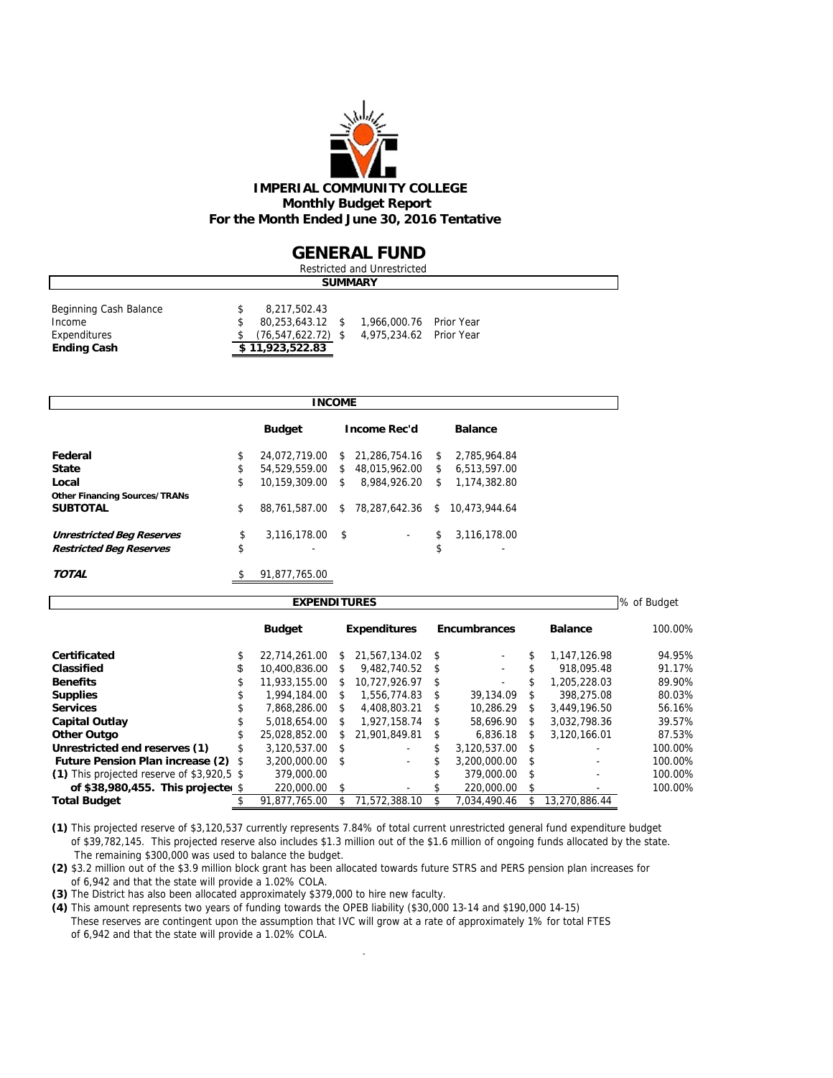

### **GENERAL FUND**

| Restricted and Unrestricted                                            |  |                                                                             |  |                                                    |  |  |  |  |  |  |
|------------------------------------------------------------------------|--|-----------------------------------------------------------------------------|--|----------------------------------------------------|--|--|--|--|--|--|
| <b>SUMMARY</b>                                                         |  |                                                                             |  |                                                    |  |  |  |  |  |  |
| Beginning Cash Balance<br>Income<br>Expenditures<br><b>Ending Cash</b> |  | 8,217,502.43<br>80,253,643.12 \$<br>$(76.547.622.72)$ \$<br>\$11,923,522.83 |  | 1,966,000.76 Prior Year<br>4.975.234.62 Prior Year |  |  |  |  |  |  |

|                                      | <b>INCOME</b>          |              |                     |     |                |  |
|--------------------------------------|------------------------|--------------|---------------------|-----|----------------|--|
|                                      | <b>Budget</b>          |              | <b>Income Rec'd</b> |     | <b>Balance</b> |  |
| Federal                              | \$<br>24.072.719.00    |              | \$ 21,286,754.16    | \$. | 2,785,964.84   |  |
| <b>State</b>                         | \$<br>54.529.559.00 \$ |              | 48.015.962.00       | s.  | 6.513.597.00   |  |
| Local                                | \$<br>10.159.309.00    | \$           | 8.984.926.20        | \$  | 1,174,382.80   |  |
| <b>Other Financing Sources/TRANs</b> |                        |              |                     |     |                |  |
| <b>SUBTOTAL</b>                      | \$<br>88,761,587.00    |              | \$ 78.287.642.36 \$ |     | 10.473.944.64  |  |
| <b>Unrestricted Beg Reserves</b>     | \$<br>3,116,178.00     | $\mathsf{s}$ | ٠                   | \$  | 3,116,178.00   |  |
| <b>Restricted Beg Reserves</b>       | \$                     |              |                     | \$  | ۰              |  |
| TOTAL                                | \$<br>91,877,765.00    |              |                     |     |                |  |

| <b>EXPENDITURES</b>                        |    |               |               |                     |    |                          |               |                |         |  |  |  |  |
|--------------------------------------------|----|---------------|---------------|---------------------|----|--------------------------|---------------|----------------|---------|--|--|--|--|
|                                            |    | <b>Budget</b> |               | <b>Expenditures</b> |    | <b>Encumbrances</b>      |               | <b>Balance</b> | 100.00% |  |  |  |  |
| Certificated                               |    | 22.714.261.00 | SS.           | 21.567.134.02 \$    |    |                          |               | 1.147.126.98   | 94.95%  |  |  |  |  |
| Classified                                 | \$ | 10.400.836.00 | \$            | 9.482.740.52 \$     |    | $\overline{\phantom{a}}$ |               | 918.095.48     | 91.17%  |  |  |  |  |
| <b>Benefits</b>                            |    | 11.933.155.00 | S.            | 10.727.926.97 \$    |    |                          |               | 1.205.228.03   | 89.90%  |  |  |  |  |
| <b>Supplies</b>                            | ъ  | 1,994,184,00  | S.            | 1.556.774.83        | S. | 39.134.09                | S.            | 398.275.08     | 80.03%  |  |  |  |  |
| <b>Services</b>                            |    | 7.868.286.00  | \$            | 4.408.803.21        | £. | 10,286.29                | \$.           | 3.449.196.50   | 56.16%  |  |  |  |  |
| <b>Capital Outlay</b>                      |    | 5,018,654.00  | \$            | $1.927.158.74$ \$   |    | 58,696.90                | -S            | 3.032.798.36   | 39.57%  |  |  |  |  |
| <b>Other Outgo</b>                         | \$ | 25.028.852.00 | S.            | 21.901.849.81       | S  | 6.836.18                 | S             | 3.120.166.01   | 87.53%  |  |  |  |  |
| Unrestricted end reserves (1)              |    | 3.120.537.00  | $\mathcal{S}$ |                     |    | 3.120.537.00             | $\mathcal{S}$ |                | 100.00% |  |  |  |  |
| <b>Future Pension Plan increase (2)</b>    | S  | 3.200.000.00  | - \$          | ٠                   |    | 3.200.000.00             | S             |                | 100.00% |  |  |  |  |
| (1) This projected reserve of \$3,920.5 \$ |    | 379,000.00    |               |                     |    | 379,000.00               | - \$          |                | 100.00% |  |  |  |  |
| of \$38,980,455. This projecte $$$         |    | 220,000.00    | -\$           |                     |    | 220,000.00               | \$            |                | 100.00% |  |  |  |  |
| <b>Total Budget</b>                        |    | 91.877.765.00 |               | 71.572.388.10       |    | 7.034.490.46             |               | 13.270.886.44  |         |  |  |  |  |

**(1)** This projected reserve of \$3,120,537 currently represents 7.84% of total current unrestricted general fund expenditure budget of \$39,782,145. This projected reserve also includes \$1.3 million out of the \$1.6 million of ongoing funds allocated by the state. The remaining \$300,000 was used to balance the budget.

**(2)** \$3.2 million out of the \$3.9 million block grant has been allocated towards future STRS and PERS pension plan increases for of 6,942 and that the state will provide a 1.02% COLA.

**(3)** The District has also been allocated approximately \$379,000 to hire new faculty.

**(4)** This amount represents two years of funding towards the OPEB liability (\$30,000 13-14 and \$190,000 14-15) These reserves are contingent upon the assumption that IVC will grow at a rate of approximately 1% for total FTES of 6,942 and that the state will provide a 1.02% COLA.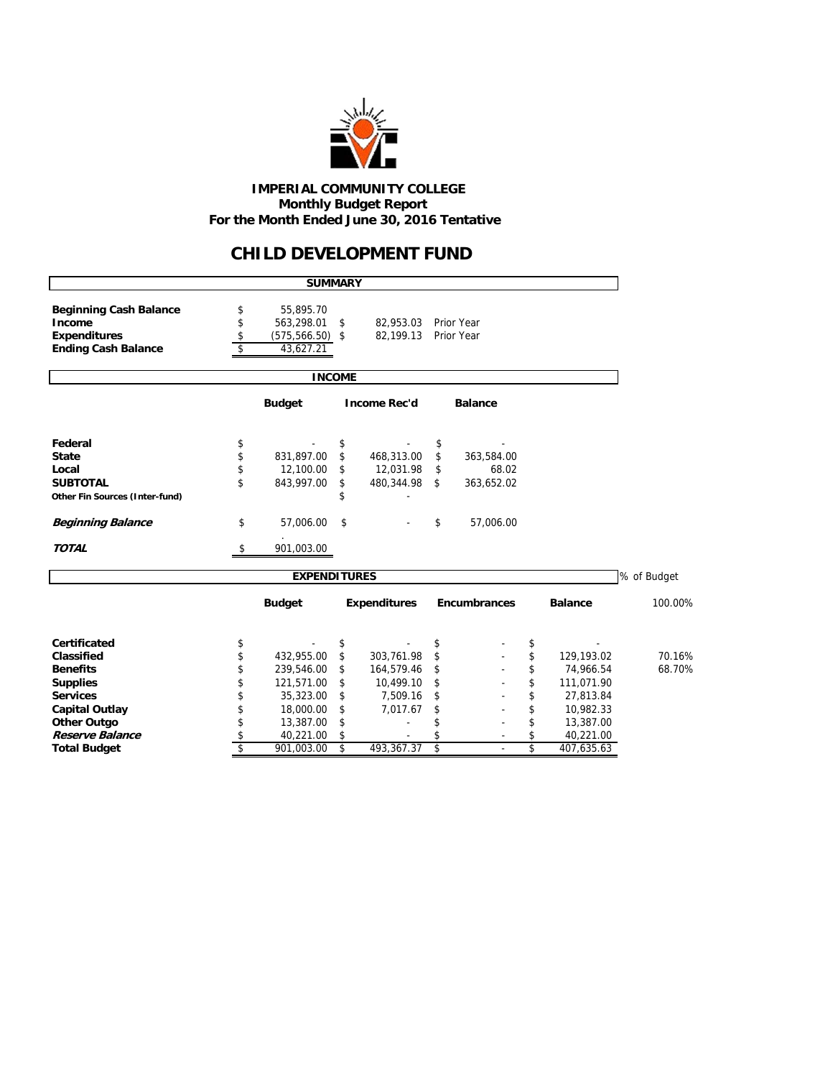

#### **IMPERIAL COMMUNITY COLLEGE Monthly Budget Report For the Month Ended June 30, 2016 Tentative**

## **CHILD DEVELOPMENT FUND**

|                                | <b>SUMMARY</b>           |               |                      |                     |                  |             |
|--------------------------------|--------------------------|---------------|----------------------|---------------------|------------------|-------------|
| <b>Beginning Cash Balance</b>  | \$<br>55,895.70          |               |                      |                     |                  |             |
| Income                         | \$<br>563,298.01         | \$            | 82,953.03 Prior Year |                     |                  |             |
| <b>Expenditures</b>            | \$<br>$(575, 566.50)$ \$ |               | 82,199.13            | Prior Year          |                  |             |
| <b>Ending Cash Balance</b>     | \$<br>43,627.21          |               |                      |                     |                  |             |
|                                |                          | <b>INCOME</b> |                      |                     |                  |             |
|                                | <b>Budget</b>            |               | <b>Income Rec'd</b>  | <b>Balance</b>      |                  |             |
| Federal                        | \$                       | \$            |                      | \$                  |                  |             |
| <b>State</b>                   | \$<br>831,897.00         | \$            | 468,313.00           | \$<br>363,584.00    |                  |             |
| Local                          | \$<br>12,100.00          | \$            | 12,031.98            | \$<br>68.02         |                  |             |
| <b>SUBTOTAL</b>                | \$<br>843,997.00         | \$            | 480,344.98           | \$<br>363,652.02    |                  |             |
| Other Fin Sources (Inter-fund) |                          | \$            |                      |                     |                  |             |
| <b>Beginning Balance</b>       | \$<br>57,006.00          | \$            |                      | \$<br>57,006.00     |                  |             |
| <b>TOTAL</b>                   | \$<br>901,003.00         |               |                      |                     |                  |             |
|                                | <b>EXPENDITURES</b>      |               |                      |                     |                  | % of Budget |
|                                | <b>Budget</b>            |               | <b>Expenditures</b>  | <b>Encumbrances</b> | <b>Balance</b>   | 100.00%     |
| Certificated                   | \$                       | \$            |                      | \$                  | \$               |             |
| Classified                     | \$<br>432,955.00         | \$            | 303,761.98           | \$                  | \$<br>129,193.02 | 70.16%      |
| <b>Benefits</b>                | \$<br>239,546.00         | \$            | 164,579.46           | \$                  | \$<br>74,966.54  | 68.70%      |
| <b>Supplies</b>                | \$<br>121,571.00         | \$            | 10,499.10            | \$                  | \$<br>111,071.90 |             |
| <b>Services</b>                | \$<br>35,323.00          | \$            | 7,509.16             | \$                  | \$<br>27,813.84  |             |
| <b>Capital Outlay</b>          | \$<br>18,000.00          | \$            | 7,017.67             | \$                  | \$<br>10,982.33  |             |
| <b>Other Outgo</b>             | \$<br>13,387.00          | \$            |                      | \$                  | \$<br>13,387.00  |             |
| Reserve Balance                | \$<br>40,221.00          | \$            |                      |                     | \$<br>40,221.00  |             |
| <b>Total Budget</b>            | \$<br>901,003.00         | \$            | 493.367.37           | \$<br>$\sim$        | \$<br>407,635.63 |             |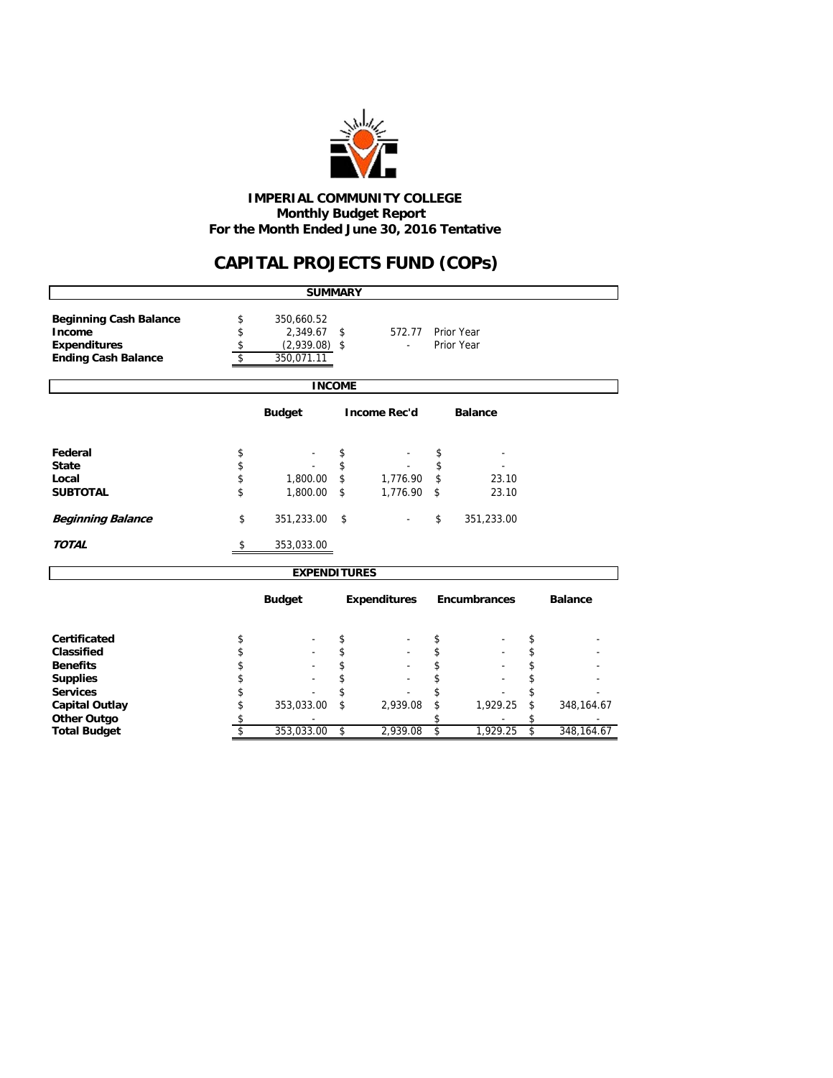

 **Monthly Budget Report For the Month Ended June 30, 2016 Tentative IMPERIAL COMMUNITY COLLEGE**

## **CAPITAL PROJECTS FUND (COPs)**

|                                                                                              |                                                        | <b>SUMMARY</b>                                          |          |                     |          |                          |          |                |  |
|----------------------------------------------------------------------------------------------|--------------------------------------------------------|---------------------------------------------------------|----------|---------------------|----------|--------------------------|----------|----------------|--|
| <b>Beginning Cash Balance</b><br>Income<br><b>Expenditures</b><br><b>Ending Cash Balance</b> | \$<br>\$<br>\$<br>\$                                   | 350,660.52<br>2,349.67<br>$(2,939.08)$ \$<br>350,071.11 | -\$      | 572.77              |          | Prior Year<br>Prior Year |          |                |  |
|                                                                                              |                                                        | <b>INCOME</b>                                           |          |                     |          |                          |          |                |  |
|                                                                                              | <b>Income Rec'd</b><br><b>Budget</b><br><b>Balance</b> |                                                         |          |                     |          |                          |          |                |  |
| Federal                                                                                      | \$                                                     |                                                         | \$       |                     | \$       |                          |          |                |  |
| <b>State</b>                                                                                 | \$                                                     |                                                         | \$       |                     | \$       |                          |          |                |  |
| Local                                                                                        | \$                                                     | 1,800.00                                                | \$       | 1,776.90            | \$       | 23.10                    |          |                |  |
| <b>SUBTOTAL</b>                                                                              | \$                                                     | 1,800.00                                                | \$       | 1,776.90            | \$       | 23.10                    |          |                |  |
| <b>Beginning Balance</b>                                                                     | \$                                                     | 351,233.00                                              | \$       |                     | \$       | 351,233.00               |          |                |  |
| <b>TOTAL</b>                                                                                 | \$                                                     | 353,033.00                                              |          |                     |          |                          |          |                |  |
|                                                                                              |                                                        | <b>EXPENDITURES</b>                                     |          |                     |          |                          |          |                |  |
|                                                                                              |                                                        | <b>Budget</b>                                           |          | <b>Expenditures</b> |          | <b>Encumbrances</b>      |          | <b>Balance</b> |  |
| Certificated                                                                                 |                                                        |                                                         |          |                     |          |                          |          |                |  |
| Classified                                                                                   | \$<br>\$                                               |                                                         | \$<br>\$ |                     | \$<br>\$ |                          | \$<br>\$ |                |  |
| <b>Benefits</b>                                                                              | \$                                                     |                                                         | \$       |                     | \$       |                          | \$       |                |  |
| <b>Supplies</b>                                                                              | \$                                                     |                                                         | \$       |                     | \$       |                          | \$       |                |  |
| <b>Services</b>                                                                              | \$                                                     |                                                         | \$       |                     | \$       |                          | \$       |                |  |
| <b>Capital Outlay</b>                                                                        | \$                                                     | 353,033.00                                              | \$       | 2,939.08            | \$       | 1,929.25                 | \$       | 348, 164. 67   |  |
| <b>Other Outgo</b>                                                                           | \$                                                     |                                                         |          |                     | \$       |                          |          |                |  |
| <b>Total Budget</b>                                                                          | \$                                                     | 353,033.00                                              | \$       | 2,939.08            | \$       | 1,929.25                 | \$       | 348,164.67     |  |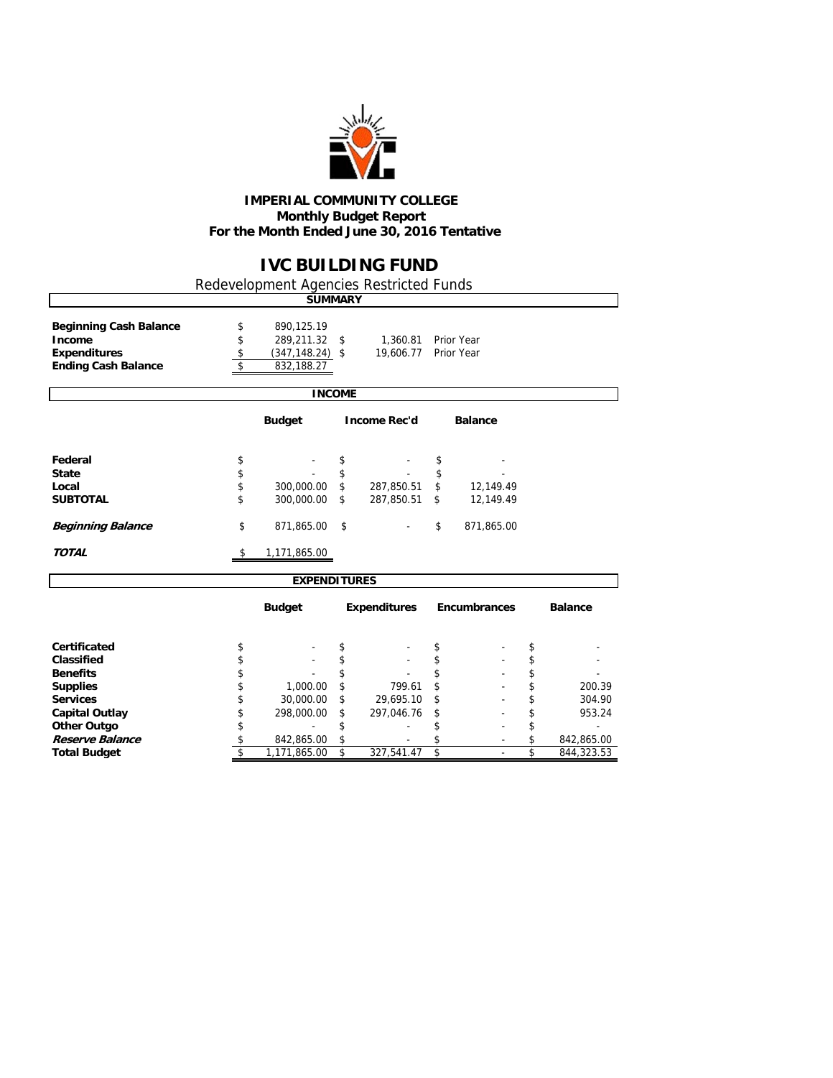

#### **IMPERIAL COMMUNITY COLLEGE Monthly Budget Report For the Month Ended June 30, 2016 Tentative**

## **IVC BUILDING FUND**

٦

Redevelopment Agencies Restricted Funds

 $\overline{\phantom{a}}$ 

|                                                                                              |                      | <b>SUMMARY</b>                                               |          |                       |          |                          |          |                  |
|----------------------------------------------------------------------------------------------|----------------------|--------------------------------------------------------------|----------|-----------------------|----------|--------------------------|----------|------------------|
| <b>Beginning Cash Balance</b><br>Income<br><b>Expenditures</b><br><b>Ending Cash Balance</b> | \$<br>\$<br>\$<br>\$ | 890,125.19<br>289,211.32<br>$(347, 148.24)$ \$<br>832,188.27 | \$       | 1,360.81<br>19,606.77 |          | Prior Year<br>Prior Year |          |                  |
|                                                                                              |                      | <b>INCOME</b>                                                |          |                       |          |                          |          |                  |
|                                                                                              |                      | <b>Budget</b>                                                |          | <b>Income Rec'd</b>   |          | <b>Balance</b>           |          |                  |
| Federal                                                                                      | \$                   |                                                              | \$       |                       | \$       |                          |          |                  |
| <b>State</b><br>Local                                                                        | \$<br>\$             | 300,000.00                                                   | \$<br>\$ | 287,850.51            | \$<br>\$ | 12,149.49                |          |                  |
| <b>SUBTOTAL</b>                                                                              | \$                   | 300,000.00                                                   | \$       | 287,850.51            | \$       | 12,149.49                |          |                  |
| <b>Beginning Balance</b>                                                                     | \$                   | 871,865.00                                                   | \$       |                       | \$       | 871,865.00               |          |                  |
| <b>TOTAL</b>                                                                                 | \$                   | 1,171,865.00                                                 |          |                       |          |                          |          |                  |
|                                                                                              |                      | <b>EXPENDITURES</b>                                          |          |                       |          |                          |          |                  |
|                                                                                              |                      | <b>Budget</b>                                                |          | <b>Expenditures</b>   |          | <b>Encumbrances</b>      |          | <b>Balance</b>   |
| Certificated                                                                                 | \$                   |                                                              | \$       |                       | \$       |                          | \$       |                  |
| <b>Classified</b>                                                                            | \$                   |                                                              | \$       |                       | \$       |                          | \$       |                  |
| <b>Benefits</b>                                                                              | \$                   |                                                              | \$       |                       | \$       |                          | \$       |                  |
| <b>Supplies</b><br><b>Services</b>                                                           | \$<br>\$             | 1,000.00<br>30,000.00                                        | \$<br>\$ | 799.61<br>29,695.10   | \$<br>\$ |                          | \$<br>\$ | 200.39<br>304.90 |
| <b>Capital Outlay</b>                                                                        | \$                   | 298,000.00                                                   | \$       | 297,046.76            | \$       |                          | \$       | 953.24           |
| <b>Other Outgo</b>                                                                           | \$                   |                                                              | \$       |                       | \$       |                          | \$       |                  |
| Reserve Balance                                                                              | \$                   | 842,865.00                                                   | \$       |                       | \$       | $\blacksquare$           | \$       | 842,865.00       |
| <b>Total Budget</b>                                                                          | \$                   | 1,171,865.00                                                 | \$       | 327,541.47            | \$       | $\blacksquare$           | \$       | 844,323.53       |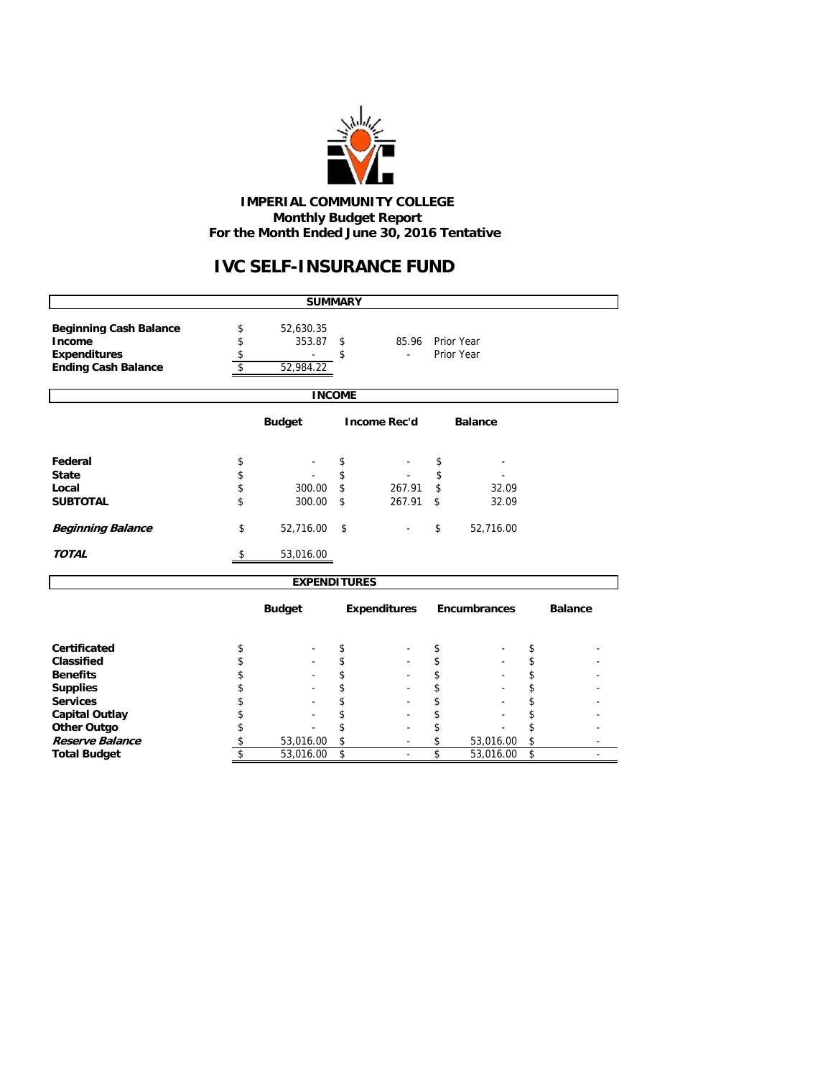

#### **IMPERIAL COMMUNITY COLLEGE Monthly Budget Report For the Month Ended June 30, 2016 Tentative**

# **IVC SELF-INSURANCE FUND**

|                                                                                              |                      | <b>SUMMARY</b>                   |               |                        |          |                     |          |                |  |  |  |
|----------------------------------------------------------------------------------------------|----------------------|----------------------------------|---------------|------------------------|----------|---------------------|----------|----------------|--|--|--|
| <b>Beginning Cash Balance</b><br>Income<br><b>Expenditures</b><br><b>Ending Cash Balance</b> | \$<br>\$<br>\$<br>\$ | 52,630.35<br>353.87<br>52,984.22 | \$<br>\$      | 85.96 Prior Year<br>ä, |          | Prior Year          |          |                |  |  |  |
|                                                                                              |                      |                                  | <b>INCOME</b> |                        |          |                     |          |                |  |  |  |
| <b>Budget</b><br><b>Income Rec'd</b><br><b>Balance</b>                                       |                      |                                  |               |                        |          |                     |          |                |  |  |  |
| Federal<br><b>State</b>                                                                      | \$<br>\$             |                                  | \$<br>\$      |                        | \$<br>\$ |                     |          |                |  |  |  |
| Local<br><b>SUBTOTAL</b>                                                                     | \$<br>\$             | 300.00<br>300.00                 | \$<br>\$      | 267.91<br>267.91       | \$<br>\$ | 32.09<br>32.09      |          |                |  |  |  |
| <b>Beginning Balance</b>                                                                     | \$                   | 52,716.00                        | \$            |                        | \$       | 52,716.00           |          |                |  |  |  |
| <b>TOTAL</b>                                                                                 | \$                   | 53,016.00                        |               |                        |          |                     |          |                |  |  |  |
|                                                                                              |                      | <b>EXPENDITURES</b>              |               |                        |          |                     |          |                |  |  |  |
|                                                                                              |                      | <b>Budget</b>                    |               | <b>Expenditures</b>    |          | <b>Encumbrances</b> |          | <b>Balance</b> |  |  |  |
| Certificated                                                                                 | \$                   |                                  | \$            |                        | \$       |                     | \$       |                |  |  |  |
| Classified<br><b>Benefits</b>                                                                | \$<br>\$             |                                  | \$<br>\$      |                        | \$<br>\$ |                     | \$<br>\$ |                |  |  |  |
| <b>Supplies</b>                                                                              | \$                   |                                  | \$            |                        | \$       |                     | \$       |                |  |  |  |
| <b>Services</b>                                                                              | \$                   |                                  | \$            |                        | \$       |                     | \$       |                |  |  |  |
| <b>Capital Outlay</b>                                                                        | \$<br>\$             |                                  | \$<br>\$      |                        | \$<br>\$ |                     | \$<br>\$ |                |  |  |  |
| <b>Other Outgo</b><br>Reserve Balance                                                        | \$                   | 53,016.00                        | \$            |                        | \$       | 53,016.00           | \$       |                |  |  |  |
| <b>Total Budget</b>                                                                          | \$                   | 53,016.00                        | \$            |                        | \$       | 53,016.00           | \$       |                |  |  |  |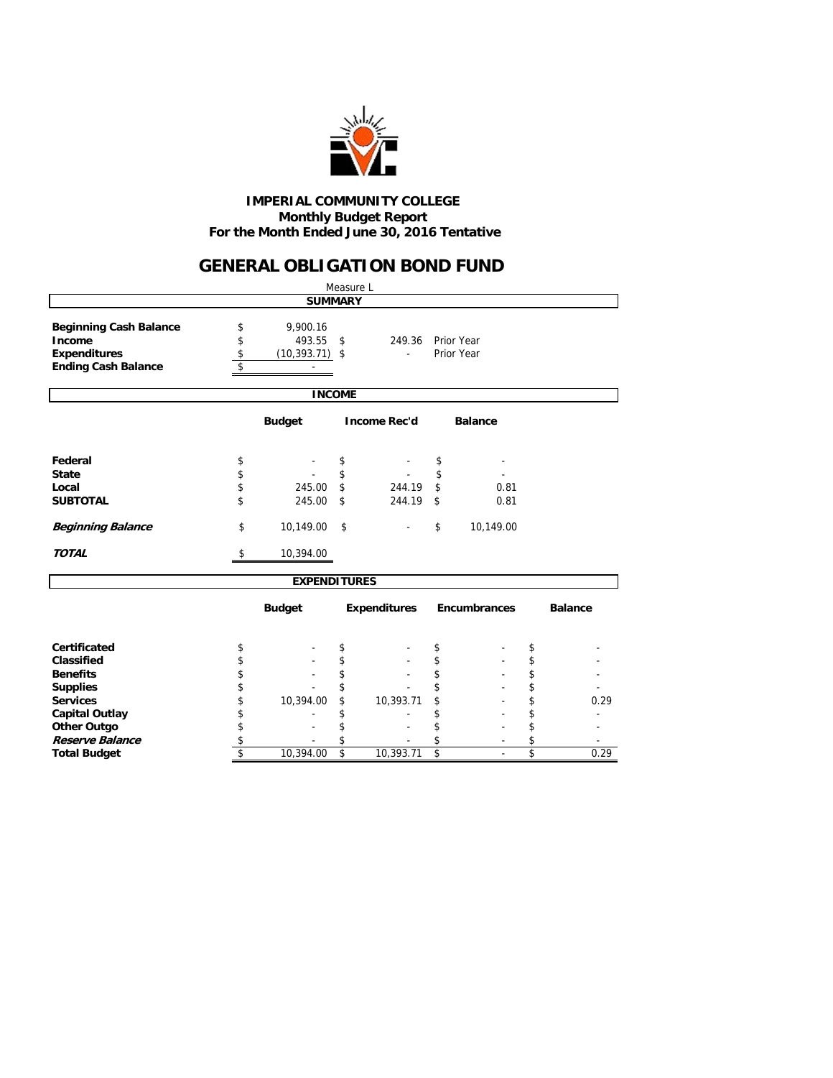

#### **Monthly Budget Report For the Month Ended June 30, 2016 Tentative IMPERIAL COMMUNITY COLLEGE**

## **GENERAL OBLIGATION BOND FUND**

|                                                                                              |                                                                                                                                         |                     | Measure L |                     |    |              |    |                |  |  |  |  |
|----------------------------------------------------------------------------------------------|-----------------------------------------------------------------------------------------------------------------------------------------|---------------------|-----------|---------------------|----|--------------|----|----------------|--|--|--|--|
|                                                                                              |                                                                                                                                         | <b>SUMMARY</b>      |           |                     |    |              |    |                |  |  |  |  |
| <b>Beginning Cash Balance</b><br>Income<br><b>Expenditures</b><br><b>Ending Cash Balance</b> | 9,900.16<br>\$<br>\$<br>493.55<br>\$<br>249.36<br>Prior Year<br>\$<br>Prior Year<br>$(10, 393.71)$ \$<br>$\overline{\phantom{a}}$<br>\$ |                     |           |                     |    |              |    |                |  |  |  |  |
|                                                                                              |                                                                                                                                         | <b>INCOME</b>       |           |                     |    |              |    |                |  |  |  |  |
| <b>Budget</b><br><b>Income Rec'd</b><br><b>Balance</b>                                       |                                                                                                                                         |                     |           |                     |    |              |    |                |  |  |  |  |
| Federal                                                                                      | \$                                                                                                                                      |                     | \$        |                     | \$ |              |    |                |  |  |  |  |
| <b>State</b>                                                                                 | \$                                                                                                                                      |                     | \$        |                     | \$ |              |    |                |  |  |  |  |
| Local                                                                                        | \$                                                                                                                                      | 245.00              | \$        | 244.19              | \$ | 0.81         |    |                |  |  |  |  |
| <b>SUBTOTAL</b>                                                                              | \$                                                                                                                                      | 245.00              | \$        | 244.19              | \$ | 0.81         |    |                |  |  |  |  |
| <b>Beginning Balance</b>                                                                     | \$                                                                                                                                      | 10,149.00           | \$        |                     | \$ | 10,149.00    |    |                |  |  |  |  |
| <b>TOTAL</b>                                                                                 | \$                                                                                                                                      | 10,394.00           |           |                     |    |              |    |                |  |  |  |  |
|                                                                                              |                                                                                                                                         | <b>EXPENDITURES</b> |           |                     |    |              |    |                |  |  |  |  |
|                                                                                              |                                                                                                                                         | <b>Budget</b>       |           | <b>Expenditures</b> |    | Encumbrances |    | <b>Balance</b> |  |  |  |  |
| Certificated                                                                                 | \$                                                                                                                                      |                     | \$        |                     | \$ |              | \$ |                |  |  |  |  |
| Classified                                                                                   | \$                                                                                                                                      |                     | \$        |                     | \$ |              | \$ |                |  |  |  |  |
| <b>Benefits</b>                                                                              | \$                                                                                                                                      |                     | \$        |                     | \$ |              | \$ |                |  |  |  |  |
| <b>Supplies</b>                                                                              | \$                                                                                                                                      |                     |           |                     | \$ |              | \$ |                |  |  |  |  |
| <b>Services</b>                                                                              | \$                                                                                                                                      | 10,394.00           | \$        | 10,393.71           | \$ |              | \$ | 0.29           |  |  |  |  |
| <b>Capital Outlay</b>                                                                        | \$                                                                                                                                      |                     | \$        |                     | \$ |              | \$ |                |  |  |  |  |
| Other Outgo                                                                                  | \$                                                                                                                                      |                     | \$        |                     | \$ |              | \$ |                |  |  |  |  |
| Reserve Balance                                                                              | \$                                                                                                                                      |                     | \$        |                     | \$ |              | \$ |                |  |  |  |  |
| <b>Total Budget</b>                                                                          | \$                                                                                                                                      | 10,394.00           | \$        | 10,393.71           | \$ |              | \$ | 0.29           |  |  |  |  |